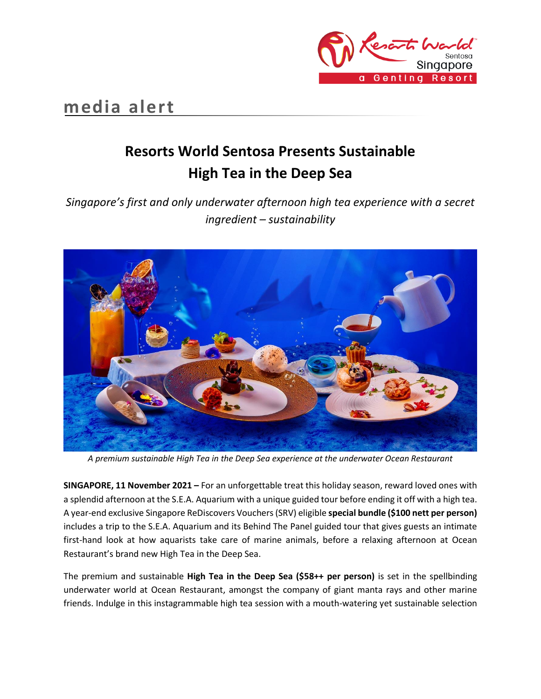

## **media alert**

# **Resorts World Sentosa Presents Sustainable High Tea in the Deep Sea**

*Singapore's first and only underwater afternoon high tea experience with a secret ingredient – sustainability*



*A premium sustainable High Tea in the Deep Sea experience at the underwater Ocean Restaurant*

**SINGAPORE, 11 November 2021 –** For an unforgettable treat this holiday season, reward loved ones with a splendid afternoon at the S.E.A. Aquarium with a unique guided tour before ending it off with a high tea. A year-end exclusive Singapore ReDiscovers Vouchers (SRV) eligible **special bundle (\$100 nett per person)** includes a trip to the S.E.A. Aquarium and its Behind The Panel guided tour that gives guests an intimate first-hand look at how aquarists take care of marine animals, before a relaxing afternoon at Ocean Restaurant's brand new High Tea in the Deep Sea.

The premium and sustainable **High Tea in the Deep Sea (\$58++ per person)** is set in the spellbinding underwater world at Ocean Restaurant, amongst the company of giant manta rays and other marine friends. Indulge in this instagrammable high tea session with a mouth-watering yet sustainable selection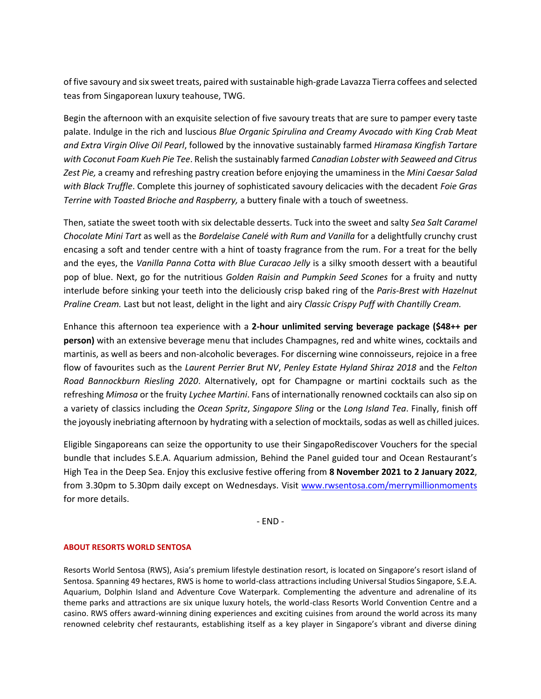of five savoury and six sweet treats, paired with sustainable high-grade Lavazza Tierra coffees and selected teas from Singaporean luxury teahouse, TWG.

Begin the afternoon with an exquisite selection of five savoury treats that are sure to pamper every taste palate. Indulge in the rich and luscious *Blue Organic Spirulina and Creamy Avocado with King Crab Meat and Extra Virgin Olive Oil Pearl*, followed by the innovative sustainably farmed *Hiramasa Kingfish Tartare with Coconut Foam Kueh Pie Tee*. Relish the sustainably farmed *Canadian Lobster with Seaweed and Citrus Zest Pie,* a creamy and refreshing pastry creation before enjoying the umaminess in the *Mini Caesar Salad with Black Truffle*. Complete this journey of sophisticated savoury delicacies with the decadent *Foie Gras Terrine with Toasted Brioche and Raspberry,* a buttery finale with a touch of sweetness.

Then, satiate the sweet tooth with six delectable desserts. Tuck into the sweet and salty *Sea Salt Caramel Chocolate Mini Tart* as well as the *Bordelaise Canelé with Rum and Vanilla* for a delightfully crunchy crust encasing a soft and tender centre with a hint of toasty fragrance from the rum. For a treat for the belly and the eyes, the *Vanilla Panna Cotta with Blue Curacao Jelly* is a silky smooth dessert with a beautiful pop of blue. Next, go for the nutritious *Golden Raisin and Pumpkin Seed Scones* for a fruity and nutty interlude before sinking your teeth into the deliciously crisp baked ring of the *Paris-Brest with Hazelnut Praline Cream.* Last but not least, delight in the light and airy *Classic Crispy Puff with Chantilly Cream.* 

Enhance this afternoon tea experience with a **2-hour unlimited serving beverage package (\$48++ per person)** with an extensive beverage menu that includes Champagnes, red and white wines, cocktails and martinis, as well as beers and non-alcoholic beverages. For discerning wine connoisseurs, rejoice in a free flow of favourites such as the *Laurent Perrier Brut NV*, *Penley Estate Hyland Shiraz 2018* and the *Felton Road Bannockburn Riesling 2020*. Alternatively, opt for Champagne or martini cocktails such as the refreshing *Mimosa* or the fruity *Lychee Martini*. Fans of internationally renowned cocktails can also sip on a variety of classics including the *Ocean Spritz*, *Singapore Sling* or the *Long Island Tea*. Finally, finish off the joyously inebriating afternoon by hydrating with a selection of mocktails, sodas as well as chilled juices.

Eligible Singaporeans can seize the opportunity to use their SingapoRediscover Vouchers for the special bundle that includes S.E.A. Aquarium admission, Behind the Panel guided tour and Ocean Restaurant's High Tea in the Deep Sea. Enjoy this exclusive festive offering from **8 November 2021 to 2 January 2022**, from 3.30pm to 5.30pm daily except on Wednesdays. Visit [www.rwsentosa.com/merrymillionmoments](http://www.rwsentosa.com/merrymillionmoments) for more details.

- END -

#### **ABOUT RESORTS WORLD SENTOSA**

Resorts World Sentosa (RWS), Asia's premium lifestyle destination resort, is located on Singapore's resort island of Sentosa. Spanning 49 hectares, RWS is home to world-class attractions including Universal Studios Singapore, S.E.A. Aquarium, Dolphin Island and Adventure Cove Waterpark. Complementing the adventure and adrenaline of its theme parks and attractions are six unique luxury hotels, the world-class Resorts World Convention Centre and a casino. RWS offers award-winning dining experiences and exciting cuisines from around the world across its many renowned celebrity chef restaurants, establishing itself as a key player in Singapore's vibrant and diverse dining